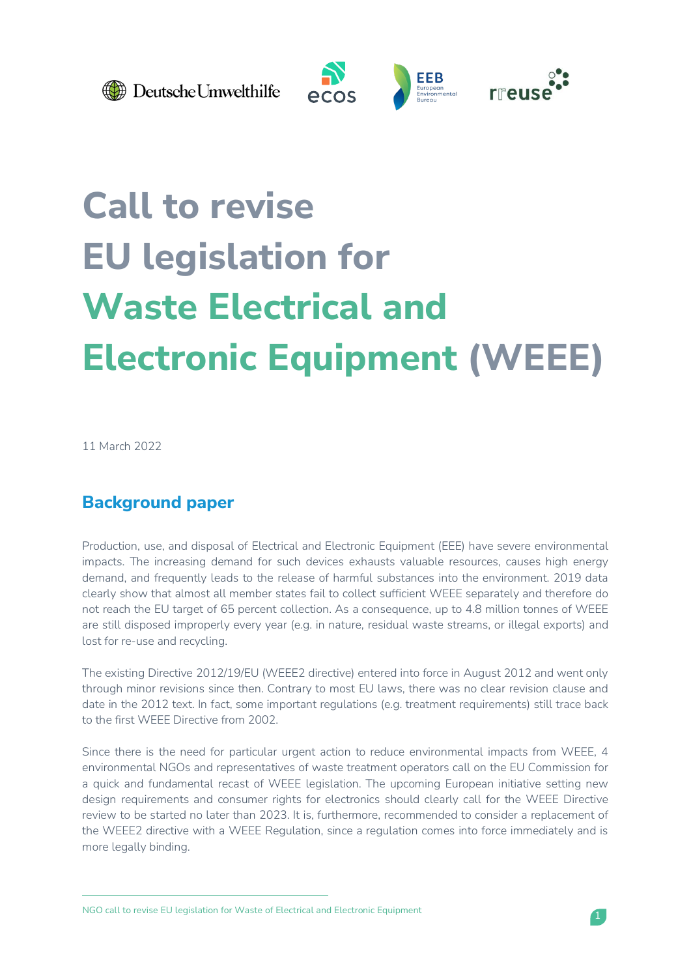

Deutsche Umwelthilfe







# **Call to revise EU legislation for Waste Electrical and Electronic Equipment (WEEE)**

11 March 2022

# **Background paper**

Production, use, and disposal of Electrical and Electronic Equipment (EEE) have severe environmental impacts. The increasing demand for such devices exhausts valuable resources, causes high energy demand, and frequently leads to the release of harmful substances into the environment. 2019 data clearly show that almost all member states fail to collect sufficient WEEE separately and therefore do not reach the EU target of 65 percent collection. As a consequence, up to 4.8 million tonnes of WEEE are still disposed improperly every year (e.g. in nature, residual waste streams, or illegal exports) and lost for re-use and recycling.

The existing Directive 2012/19/EU (WEEE2 directive) entered into force in August 2012 and went only through minor revisions since then. Contrary to most EU laws, there was no clear revision clause and date in the 2012 text. In fact, some important regulations (e.g. treatment requirements) still trace back to the first WEEE Directive from 2002.

Since there is the need for particular urgent action to reduce environmental impacts from WEEE, 4 environmental NGOs and representatives of waste treatment operators call on the EU Commission for a quick and fundamental recast of WEEE legislation. The upcoming European initiative setting new design requirements and consumer rights for electronics should clearly call for the WEEE Directive review to be started no later than 2023. It is, furthermore, recommended to consider a replacement of the WEEE2 directive with a WEEE Regulation, since a regulation comes into force immediately and is more legally binding.

NGO call to revise EU legislation for Waste of Electrical and Electronic Equipment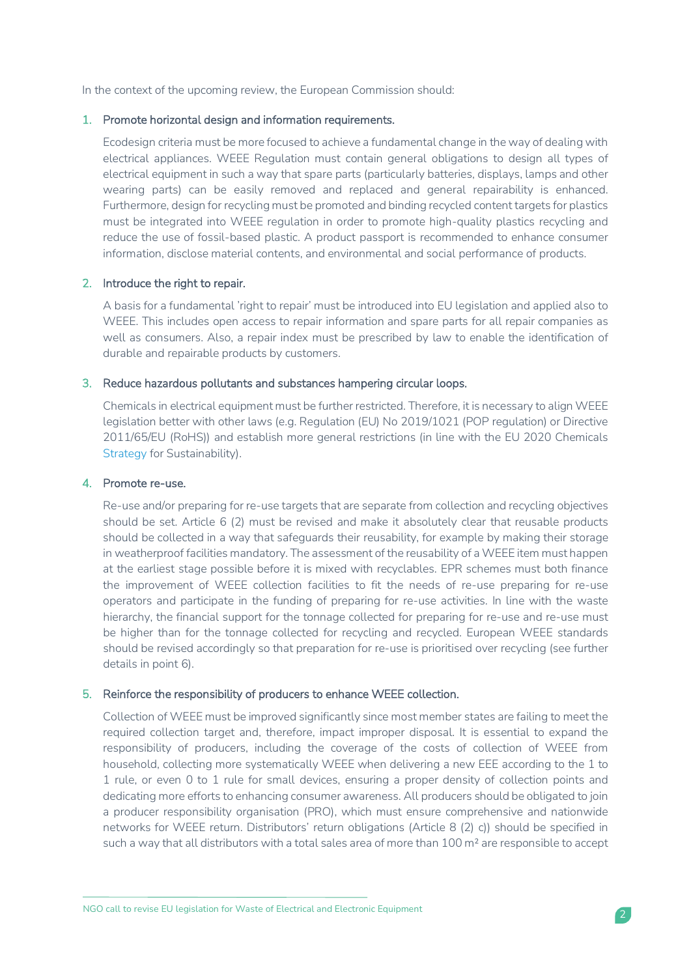In the context of the upcoming review, the European Commission should:

## 1. Promote horizontal design and information requirements.

Ecodesign criteria must be more focused to achieve a fundamental change in the way of dealing with electrical appliances. WEEE Regulation must contain general obligations to design all types of electrical equipment in such a way that spare parts (particularly batteries, displays, lamps and other wearing parts) can be easily removed and replaced and general repairability is enhanced. Furthermore, design for recycling must be promoted and binding recycled content targets for plastics must be integrated into WEEE regulation in order to promote high-quality plastics recycling and reduce the use of fossil-based plastic. A product passport is recommended to enhance consumer information, disclose material contents, and environmental and social performance of products.

# 2. Introduce the right to repair.

A basis for a fundamental 'right to repair' must be introduced into EU legislation and applied also to WEEE. This includes open access to repair information and spare parts for all repair companies as well as consumers. Also, a repair index must be prescribed by law to enable the identification of durable and repairable products by customers.

## 3. Reduce hazardous pollutants and substances hampering circular loops.

Chemicals in electrical equipment must be further restricted. Therefore, it is necessary to align WEEE legislation better with other laws (e.g. Regulation (EU) No 2019/1021 (POP regulation) or Directive 2011/65/EU (RoHS)) and establish more general restrictions (in line with the EU 2020 Chemicals [Strategy](https://ec.europa.eu/environment/pdf/chemicals/2020/10/Strategy.pdf) for Sustainability).

## 4. Promote re-use.

Re-use and/or preparing for re-use targets that are separate from collection and recycling objectives should be set. Article 6 (2) must be revised and make it absolutely clear that reusable products should be collected in a way that safeguards their reusability, for example by making their storage in weatherproof facilities mandatory. The assessment of the reusability of a WEEE item must happen at the earliest stage possible before it is mixed with recyclables. EPR schemes must both finance the improvement of WEEE collection facilities to fit the needs of re-use preparing for re-use operators and participate in the funding of preparing for re-use activities. In line with the waste hierarchy, the financial support for the tonnage collected for preparing for re-use and re-use must be higher than for the tonnage collected for recycling and recycled. European WEEE standards should be revised accordingly so that preparation for re-use is prioritised over recycling (see further details in point 6).

## 5. Reinforce the responsibility of producers to enhance WEEE collection.

Collection of WEEE must be improved significantly since most member states are failing to meet the required collection target and, therefore, impact improper disposal. It is essential to expand the responsibility of producers, including the coverage of the costs of collection of WEEE from household, collecting more systematically WEEE when delivering a new EEE according to the 1 to 1 rule, or even 0 to 1 rule for small devices, ensuring a proper density of collection points and dedicating more efforts to enhancing consumer awareness. All producers should be obligated to join a producer responsibility organisation (PRO), which must ensure comprehensive and nationwide networks for WEEE return. Distributors' return obligations (Article 8 (2) c)) should be specified in such a way that all distributors with a total sales area of more than 100 m<sup>2</sup> are responsible to accept